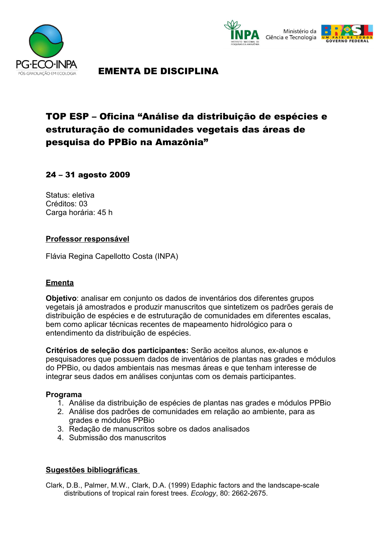





# EMENTA DE DISCIPLINA

# TOP ESP – Oficina "Análise da distribuição de espécies e estruturação de comunidades vegetais das áreas de pesquisa do PPBio na Amazônia"

## 24 – 31 agosto 2009

Status: eletiva Créditos: 03 Carga horária: 45 h

### **Professor responsável**

Flávia Regina Capellotto Costa (INPA)

## **Ementa**

**Objetivo**: analisar em conjunto os dados de inventários dos diferentes grupos vegetais já amostrados e produzir manuscritos que sintetizem os padrões gerais de distribuição de espécies e de estruturação de comunidades em diferentes escalas, bem como aplicar técnicas recentes de mapeamento hidrológico para o entendimento da distribuição de espécies.

**Critérios de seleção dos participantes:** Serão aceitos alunos, ex-alunos e pesquisadores que possuem dados de inventários de plantas nas grades e módulos do PPBio, ou dados ambientais nas mesmas áreas e que tenham interesse de integrar seus dados em análises conjuntas com os demais participantes.

#### **Programa**

- 1. Análise da distribuição de espécies de plantas nas grades e módulos PPBio
- 2. Análise dos padrões de comunidades em relação ao ambiente, para as grades e módulos PPBio
- 3. Redação de manuscritos sobre os dados analisados
- 4. Submissão dos manuscritos

#### **Sugestões bibliográficas**

Clark, D.B., Palmer, M.W., Clark, D.A. (1999) Edaphic factors and the landscape-scale distributions of tropical rain forest trees. *Ecology*, 80: 2662-2675.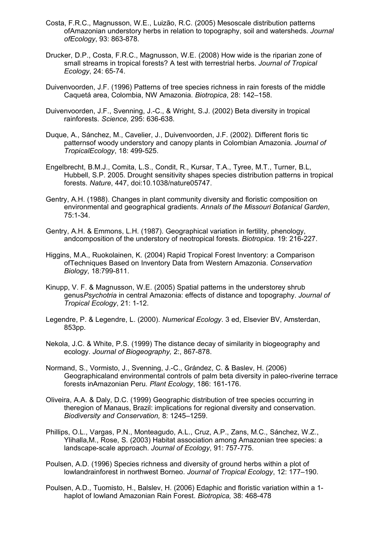- Costa, F.R.C., Magnusson, W.E., Luizão, R.C. (2005) Mesoscale distribution patterns ofAmazonian understory herbs in relation to topography, soil and watersheds. *Journal ofEcology*, 93: 863-878.
- Drucker, D.P., Costa, F.R.C., Magnusson, W.E. (2008) How wide is the riparian zone of small streams in tropical forests? A test with terrestrial herbs. *Journal of Tropical Ecology*, 24: 65-74.
- Duivenvoorden, J.F. (1996) Patterns of tree species richness in rain forests of the middle Caquetá area, Colombia, NW Amazonia. *Biotropica*, 28: 142–158.
- Duivenvoorden, J.F., Svenning, J.-C., & Wright, S.J. (2002) Beta diversity in tropical rainforests. *Science,* 295: 636-638.
- Duque, A., Sánchez, M., Cavelier, J., Duivenvoorden, J.F. (2002). Different floris tic patternsof woody understory and canopy plants in Colombian Amazonia. *Journal of TropicalEcology*, 18: 499-525.
- Engelbrecht, B.M.J., Comita, L.S., Condit, R., Kursar, T.A., Tyree, M.T., Turner, B.L, Hubbell, S.P. 2005. Drought sensitivity shapes species distribution patterns in tropical forests. *Nature*, 447, doi:10.1038/nature05747.
- Gentry, A.H. (1988). Changes in plant community diversity and floristic composition on environmental and geographical gradients. *Annals of the Missouri Botanical Garden*, 75:1-34.
- Gentry, A.H. & Emmons, L.H. (1987). Geographical variation in fertility, phenology, andcomposition of the understory of neotropical forests. *Biotropica*. 19: 216-227.
- Higgins, M.A., Ruokolainen, K. (2004) Rapid Tropical Forest Inventory: a Comparison ofTechniques Based on Inventory Data from Western Amazonia. *Conservation Biology*, 18:799-811.
- Kinupp, V. F. & Magnusson, W.E. (2005) Spatial patterns in the understorey shrub genus*Psychotria* in central Amazonia: effects of distance and topography. *Journal of Tropical Ecology*, 21: 1-12.
- Legendre, P. & Legendre, L. (2000). *Numerical Ecology*. 3 ed, Elsevier BV, Amsterdan, 853pp.
- Nekola, J.C. & White, P.S. (1999) The distance decay of similarity in biogeography and ecology. *Journal of Biogeography,* 2:, 867-878.
- Normand, S., Vormisto, J., Svenning, J.-C., Grández, C. & Baslev, H. (2006) Geographicaland environmental controls of palm beta diversity in paleo-riverine terrace forests inAmazonian Peru. *Plant Ecology*, 186: 161-176.
- Oliveira, A.A. & Daly, D.C. (1999) Geographic distribution of tree species occurring in theregion of Manaus, Brazil: implications for regional diversity and conservation. *Biodiversity and Conservation,* 8: 1245–1259.
- Phillips, O.L., Vargas, P.N., Monteagudo, A.L., Cruz, A.P., Zans, M.C., Sánchez, W.Z., Ylihalla,M., Rose, S. (2003) Habitat association among Amazonian tree species: a landscape-scale approach. *Journal of Ecology*, 91: 757-775.
- Poulsen, A.D. (1996) Species richness and diversity of ground herbs within a plot of lowlandrainforest in northwest Borneo. *Journal of Tropical Ecology*, 12: 177–190.
- Poulsen, A.D., Tuomisto, H., Balslev, H. (2006) Edaphic and floristic variation within a 1 haplot of lowland Amazonian Rain Forest. *Biotropica,* 38: 468-478